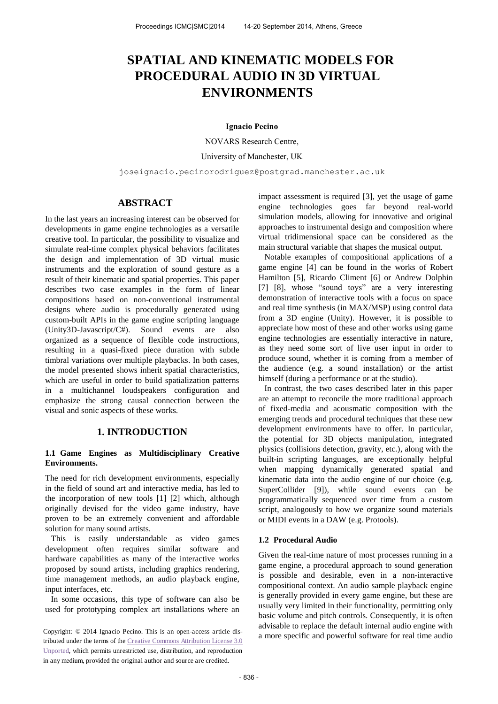# **SPATIAL AND KINEMATIC MODELS FOR PROCEDURAL AUDIO IN 3D VIRTUAL ENVIRONMENTS**

#### **Ignacio Pecino**

NOVARS Research Centre, University of Manchester, UK

joseignacio.pecinorodriguez@postgrad.manchester.ac.uk

## **ABSTRACT**

In the last years an increasing interest can be observed for developments in game engine technologies as a versatile creative tool. In particular, the possibility to visualize and simulate real-time complex physical behaviors facilitates the design and implementation of 3D virtual music instruments and the exploration of sound gesture as a result of their kinematic and spatial properties. This paper describes two case examples in the form of linear compositions based on non-conventional instrumental designs where audio is procedurally generated using custom-built APIs in the game engine scripting language (Unity3D-Javascript/C#). Sound events are also organized as a sequence of flexible code instructions, resulting in a quasi-fixed piece duration with subtle timbral variations over multiple playbacks. In both cases, the model presented shows inherit spatial characteristics, which are useful in order to build spatialization patterns in a multichannel loudspeakers configuration and emphasize the strong causal connection between the visual and sonic aspects of these works.

## **1. INTRODUCTION**

## **1.1 Game Engines as Multidisciplinary Creative Environments.**

The need for rich development environments, especially in the field of sound art and interactive media, has led to the incorporation of new tools [1] [2] which, although originally devised for the video game industry, have proven to be an extremely convenient and affordable solution for many sound artists.

This is easily understandable as video games development often requires similar software and hardware capabilities as many of the interactive works proposed by sound artists, including graphics rendering, time management methods, an audio playback engine, input interfaces, etc.

In some occasions, this type of software can also be used for prototyping complex art installations where an impact assessment is required [3], yet the usage of game engine technologies goes far beyond real-world simulation models, allowing for innovative and original approaches to instrumental design and composition where virtual tridimensional space can be considered as the main structural variable that shapes the musical output.

Notable examples of compositional applications of a game engine [4] can be found in the works of Robert Hamilton [5], Ricardo Climent [6] or Andrew Dolphin [7] [8], whose "sound toys" are a very interesting demonstration of interactive tools with a focus on space and real time synthesis (in MAX/MSP) using control data from a 3D engine (Unity). However, it is possible to appreciate how most of these and other works using game engine technologies are essentially interactive in nature, as they need some sort of live user input in order to produce sound, whether it is coming from a member of the audience (e.g. a sound installation) or the artist himself (during a performance or at the studio).

In contrast, the two cases described later in this paper are an attempt to reconcile the more traditional approach of fixed-media and acousmatic composition with the emerging trends and procedural techniques that these new development environments have to offer. In particular, the potential for 3D objects manipulation, integrated physics (collisions detection, gravity, etc.), along with the built-in scripting languages, are exceptionally helpful when mapping dynamically generated spatial and kinematic data into the audio engine of our choice (e.g. SuperCollider [9]), while sound events can be programmatically sequenced over time from a custom script, analogously to how we organize sound materials or MIDI events in a DAW (e.g. Protools).

#### **1.2 Procedural Audio**

Given the real-time nature of most processes running in a game engine, a procedural approach to sound generation is possible and desirable, even in a non-interactive compositional context. An audio sample playback engine is generally provided in every game engine, but these are usually very limited in their functionality, permitting only basic volume and pitch controls. Consequently, it is often advisable to replace the default internal audio engine with a more specific and powerful software for real time audio Copyright: © 2014 Ignacio Pecino. This is an open-access article dis-

tributed under the terms of th[e Creative Commons Attribution License 3.0](http://creativecommons.org/licenses/by/3.0/)  [Unported,](http://creativecommons.org/licenses/by/3.0/) which permits unrestricted use, distribution, and reproduction in any medium, provided the original author and source are credited.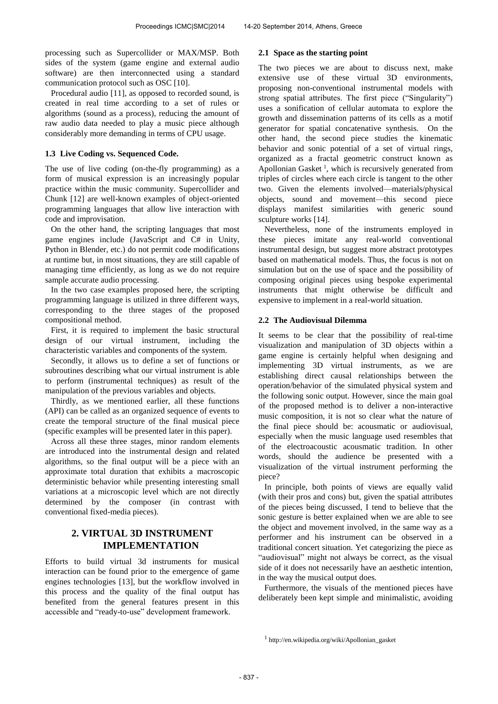processing such as Supercollider or MAX/MSP. Both sides of the system (game engine and external audio software) are then interconnected using a standard communication protocol such as OSC [10].

Procedural audio [11], as opposed to recorded sound, is created in real time according to a set of rules or algorithms (sound as a process), reducing the amount of raw audio data needed to play a music piece although considerably more demanding in terms of CPU usage.

#### **1.3 Live Coding vs. Sequenced Code.**

The use of live coding (on-the-fly programming) as a form of musical expression is an increasingly popular practice within the music community. Supercollider and Chunk [12] are well-known examples of object-oriented programming languages that allow live interaction with code and improvisation.

On the other hand, the scripting languages that most game engines include (JavaScript and C# in Unity, Python in Blender, etc.) do not permit code modifications at runtime but, in most situations, they are still capable of managing time efficiently, as long as we do not require sample accurate audio processing.

In the two case examples proposed here, the scripting programming language is utilized in three different ways, corresponding to the three stages of the proposed compositional method.

First, it is required to implement the basic structural design of our virtual instrument, including the characteristic variables and components of the system.

Secondly, it allows us to define a set of functions or subroutines describing what our virtual instrument is able to perform (instrumental techniques) as result of the manipulation of the previous variables and objects.

Thirdly, as we mentioned earlier, all these functions (API) can be called as an organized sequence of events to create the temporal structure of the final musical piece (specific examples will be presented later in this paper).

Across all these three stages, minor random elements are introduced into the instrumental design and related algorithms, so the final output will be a piece with an approximate total duration that exhibits a macroscopic deterministic behavior while presenting interesting small variations at a microscopic level which are not directly determined by the composer (in contrast with conventional fixed-media pieces).

# **2. VIRTUAL 3D INSTRUMENT IMPLEMENTATION**

Efforts to build virtual 3d instruments for musical interaction can be found prior to the emergence of game engines technologies [13], but the workflow involved in this process and the quality of the final output has benefited from the general features present in this accessible and "ready-to-use" development framework.

#### **2.1 Space as the starting point**

The two pieces we are about to discuss next, make extensive use of these virtual 3D environments, proposing non-conventional instrumental models with strong spatial attributes. The first piece ("Singularity") uses a sonification of cellular automata to explore the growth and dissemination patterns of its cells as a motif generator for spatial concatenative synthesis. On the other hand, the second piece studies the kinematic behavior and sonic potential of a set of virtual rings, organized as a fractal geometric construct known as Apollonian Gasket<sup>1</sup>, which is recursively generated from triples of circles where each circle is tangent to the other two. Given the elements involved—materials/physical objects, sound and movement—this second piece displays manifest similarities with generic sound sculpture works [14].

Nevertheless, none of the instruments employed in these pieces imitate any real-world conventional instrumental design, but suggest more abstract prototypes based on mathematical models. Thus, the focus is not on simulation but on the use of space and the possibility of composing original pieces using bespoke experimental instruments that might otherwise be difficult and expensive to implement in a real-world situation.

#### **2.2 The Audiovisual Dilemma**

It seems to be clear that the possibility of real-time visualization and manipulation of 3D objects within a game engine is certainly helpful when designing and implementing 3D virtual instruments, as we are establishing direct causal relationships between the operation/behavior of the simulated physical system and the following sonic output. However, since the main goal of the proposed method is to deliver a non-interactive music composition, it is not so clear what the nature of the final piece should be: acousmatic or audiovisual, especially when the music language used resembles that of the electroacoustic acousmatic tradition. In other words, should the audience be presented with a visualization of the virtual instrument performing the piece?

In principle, both points of views are equally valid (with their pros and cons) but, given the spatial attributes of the pieces being discussed, I tend to believe that the sonic gesture is better explained when we are able to see the object and movement involved, in the same way as a performer and his instrument can be observed in a traditional concert situation. Yet categorizing the piece as "audiovisual" might not always be correct, as the visual side of it does not necessarily have an aesthetic intention, in the way the musical output does.

Furthermore, the visuals of the mentioned pieces have deliberately been kept simple and minimalistic, avoiding

<sup>1</sup> http://en.wikipedia.org/wiki/Apollonian\_gasket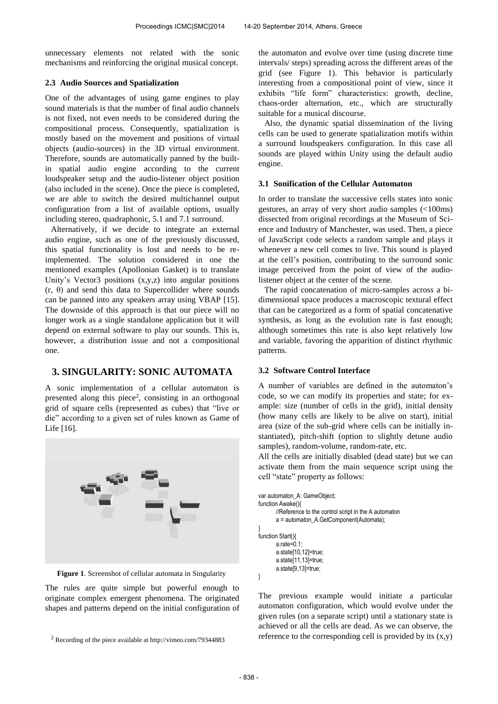unnecessary elements not related with the sonic mechanisms and reinforcing the original musical concept.

#### **2.3 Audio Sources and Spatialization**

One of the advantages of using game engines to play sound materials is that the number of final audio channels is not fixed, not even needs to be considered during the compositional process. Consequently, spatialization is mostly based on the movement and positions of virtual objects (audio-sources) in the 3D virtual environment. Therefore, sounds are automatically panned by the builtin spatial audio engine according to the current loudspeaker setup and the audio-listener object position (also included in the scene). Once the piece is completed, we are able to switch the desired multichannel output configuration from a list of available options, usually including stereo, quadraphonic, 5.1 and 7.1 surround.

Alternatively, if we decide to integrate an external audio engine, such as one of the previously discussed, this spatial functionality is lost and needs to be reimplemented. The solution considered in one the mentioned examples (Apollonian Gasket) is to translate Unity's Vector3 positions (x,y,z) into angular positions  $(r, \theta)$  and send this data to Supercollider where sounds can be panned into any speakers array using VBAP [15]. The downside of this approach is that our piece will no longer work as a single standalone application but it will depend on external software to play our sounds. This is, however, a distribution issue and not a compositional one.

# **3. SINGULARITY: SONIC AUTOMATA**

A sonic implementation of a cellular automaton is presented along this piece<sup>2</sup>, consisting in an orthogonal grid of square cells (represented as cubes) that "live or die" according to a given set of rules known as Game of Life [16].



**Figure 1**. Screenshot of cellular automata in Singularity

The rules are quite simple but powerful enough to originate complex emergent phenomena. The originated shapes and patterns depend on the initial configuration of

the automaton and evolve over time (using discrete time intervals/ steps) spreading across the different areas of the grid (see Figure 1). This behavior is particularly interesting from a compositional point of view, since it exhibits "life form" characteristics: growth, decline, chaos-order alternation, etc., which are structurally suitable for a musical discourse.

Also, the dynamic spatial dissemination of the living cells can be used to generate spatialization motifs within a surround loudspeakers configuration. In this case all sounds are played within Unity using the default audio engine.

## **3.1 Sonification of the Cellular Automaton**

In order to translate the successive cells states into sonic gestures, an array of very short audio samples (<100ms) dissected from original recordings at the Museum of Science and Industry of Manchester, was used. Then, a piece of JavaScript code selects a random sample and plays it whenever a new cell comes to live. This sound is played at the cell's position, contributing to the surround sonic image perceived from the point of view of the audiolistener object at the center of the scene.

The rapid concatenation of micro-samples across a bidimensional space produces a macroscopic textural effect that can be categorized as a form of spatial concatenative synthesis, as long as the evolution rate is fast enough; although sometimes this rate is also kept relatively low and variable, favoring the apparition of distinct rhythmic patterns.

### **3.2 Software Control Interface**

A number of variables are defined in the automaton's code, so we can modify its properties and state; for example: size (number of cells in the grid), initial density (how many cells are likely to be alive on start), initial area (size of the sub-grid where cells can be initially instantiated), pitch-shift (option to slightly detune audio samples), random-volume, random-rate, etc.

All the cells are initially disabled (dead state) but we can activate them from the main sequence script using the cell "state" property as follows:

```
var automaton_A: GameObject; 
function Awake(){ 
       //Reference to the control script in the A automaton 
       a = automaton_A.GetComponent(Automata); 
} 
function Start(){ 
       a.rate=0.1; 
       a.state[10,12]=true; 
       a.state[11,13]=true; 
       a.state[9,13]=true; 
}
```
The previous example would initiate a particular automaton configuration, which would evolve under the given rules (on a separate script) until a stationary state is achieved or all the cells are dead. As we can observe, the reference to the corresponding cell is provided by its (x,y)

 $2$  Recording of the piece available at http://vimeo.com/79344883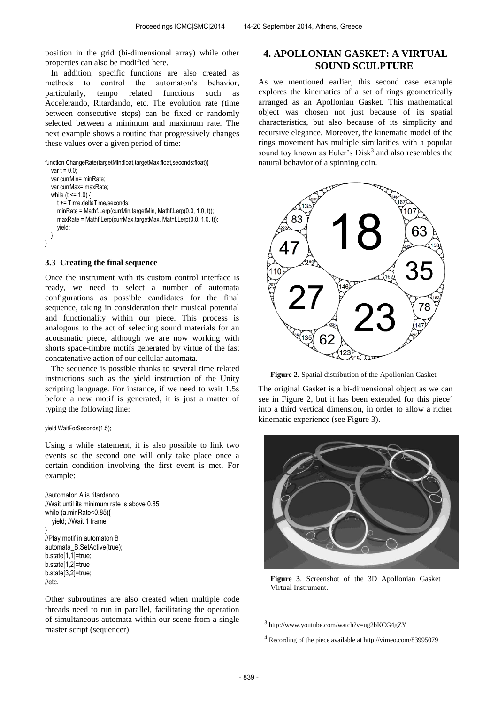position in the grid (bi-dimensional array) while other properties can also be modified here.

In addition, specific functions are also created as methods to control the automaton's behavior, particularly, tempo related functions such as Accelerando, Ritardando, etc. The evolution rate (time between consecutive steps) can be fixed or randomly selected between a minimum and maximum rate. The next example shows a routine that progressively changes these values over a given period of time:

```
function ChangeRate(targetMin:float,targetMax:float,seconds:float){ 
  var t = 0.0;
   var currMin= minRate; 
   var currMax= maxRate; 
  while (t \le 1.0) {
      t += Time.deltaTime/seconds; 
     minRate = Mathf.Lerp(currMin,targetMin, Mathf.Lerp(0.0, 1.0, t));
      maxRate = Mathf.Lerp(currMax,targetMax, Mathf.Lerp(0.0, 1.0, t)); 
      yield; 
   } 
}
```
#### **3.3 Creating the final sequence**

Once the instrument with its custom control interface is ready, we need to select a number of automata configurations as possible candidates for the final sequence, taking in consideration their musical potential and functionality within our piece. This process is analogous to the act of selecting sound materials for an acousmatic piece, although we are now working with shorts space-timbre motifs generated by virtue of the fast concatenative action of our cellular automata.

The sequence is possible thanks to several time related instructions such as the yield instruction of the Unity scripting language. For instance, if we need to wait 1.5s before a new motif is generated, it is just a matter of typing the following line:

#### yield WaitForSeconds(1.5);

Using a while statement, it is also possible to link two events so the second one will only take place once a certain condition involving the first event is met. For example:

```
//automaton A is ritardando 
//Wait until its minimum rate is above 0.85 
while (a.minRate<0.85){ 
   yield; //Wait 1 frame 
} 
//Play motif in automaton B 
automata_B.SetActive(true); 
b.state[1,1]=true; 
b.state[1,2]=true 
b.state[3,2]=true; 
//etc.
```
Other subroutines are also created when multiple code threads need to run in parallel, facilitating the operation of simultaneous automata within our scene from a single master script (sequencer).

# **4. APOLLONIAN GASKET: A VIRTUAL SOUND SCULPTURE**

As we mentioned earlier, this second case example explores the kinematics of a set of rings geometrically arranged as an Apollonian Gasket. This mathematical object was chosen not just because of its spatial characteristics, but also because of its simplicity and recursive elegance. Moreover, the kinematic model of the rings movement has multiple similarities with a popular sound toy known as Euler's Disk<sup>3</sup> and also resembles the natural behavior of a spinning coin.



**Figure 2**. Spatial distribution of the Apollonian Gasket

The original Gasket is a bi-dimensional object as we can see in Figure 2, but it has been extended for this piece<sup>4</sup> into a third vertical dimension, in order to allow a richer kinematic experience (see Figure 3).



**Figure 3**. Screenshot of the 3D Apollonian Gasket Virtual Instrument.

3 http://www.youtube.com/watch?v=ug2bKCG4gZY

4 Recording of the piece available at http://vimeo.com/83995079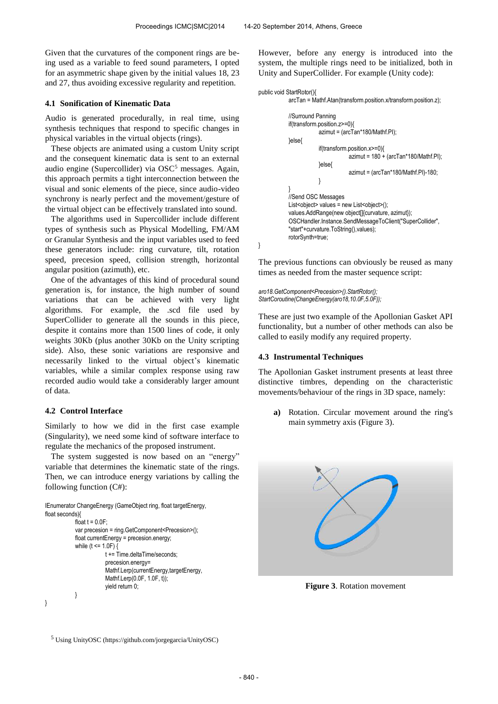}

Given that the curvatures of the component rings are being used as a variable to feed sound parameters, I opted for an asymmetric shape given by the initial values 18, 23 and 27, thus avoiding excessive regularity and repetition.

#### **4.1 Sonification of Kinematic Data**

Audio is generated procedurally, in real time, using synthesis techniques that respond to specific changes in physical variables in the virtual objects (rings).

These objects are animated using a custom Unity script and the consequent kinematic data is sent to an external audio engine (Supercollider) via OSC<sup>5</sup> messages. Again, this approach permits a tight interconnection between the visual and sonic elements of the piece, since audio-video synchrony is nearly perfect and the movement/gesture of the virtual object can be effectively translated into sound.

The algorithms used in Supercollider include different types of synthesis such as Physical Modelling, FM/AM or Granular Synthesis and the input variables used to feed these generators include: ring curvature, tilt, rotation speed, precesion speed, collision strength, horizontal angular position (azimuth), etc.

One of the advantages of this kind of procedural sound generation is, for instance, the high number of sound variations that can be achieved with very light algorithms. For example, the .scd file used by SuperCollider to generate all the sounds in this piece, despite it contains more than 1500 lines of code, it only weights 30Kb (plus another 30Kb on the Unity scripting side). Also, these sonic variations are responsive and necessarily linked to the virtual object's kinematic variables, while a similar complex response using raw recorded audio would take a considerably larger amount of data.

#### **4.2 Control Interface**

}

Similarly to how we did in the first case example (Singularity), we need some kind of software interface to regulate the mechanics of the proposed instrument.

The system suggested is now based on an "energy" variable that determines the kinematic state of the rings. Then, we can introduce energy variations by calling the following function (C#):

IEnumerator ChangeEnergy (GameObject ring, float targetEnergy,

```
float seconds){ 
            float t = 0.0F:
            var precesion = ring.GetComponent<Precesion>();
            float currentEnergy = precesion.energy; 
            while (t \le 1.0F) {
                         t += Time.deltaTime/seconds; 
                         precesion.energy= 
                         Mathf.Lerp(currentEnergy,targetEnergy,
                         Mathf.Lerp(0.0F, 1.0F, t)); 
                         yield return 0; 
            }
```
However, before any energy is introduced into the system, the multiple rings need to be initialized, both in Unity and SuperCollider. For example (Unity code):

```
public void StartRotor(){
```
arcTan = Mathf.Atan(transform.position.x/transform.position.z);

```
//Surround Panning 
if(transform.position.z>=0){ 
            azimut = (arcTan*180/Mathf.PI); 
}else{ 
             if(transform.position.x>=0){ 
                         azimut = 180 + (arcTan*180/Mathf.PI); 
            }else{ 
                         azimut = (arcTan*180/Mathf.PI)-180; 
            } 
} 
//Send OSC Messages 
List<object> values = new List<object>();
values.AddRange(new object[]{curvature, azimut}); 
OSCHandler.Instance.SendMessageToClient("SuperCollider", 
"start"+curvature.ToString(),values); 
rotorSynth=true;
```
The previous functions can obviously be reused as many times as needed from the master sequence script:

*aro18.GetComponent<Precesion>().StartRotor(); StartCoroutine(ChangeEnergy(aro18,10.0F,5.0F));* 

These are just two example of the Apollonian Gasket API functionality, but a number of other methods can also be called to easily modify any required property.

#### **4.3 Instrumental Techniques**

The Apollonian Gasket instrument presents at least three distinctive timbres, depending on the characteristic movements/behaviour of the rings in 3D space, namely:

**a)** Rotation. Circular movement around the ring's main symmetry axis (Figure 3).



**Figure 3**. Rotation movement

5 Using UnityOSC (https://github.com/jorgegarcia/UnityOSC)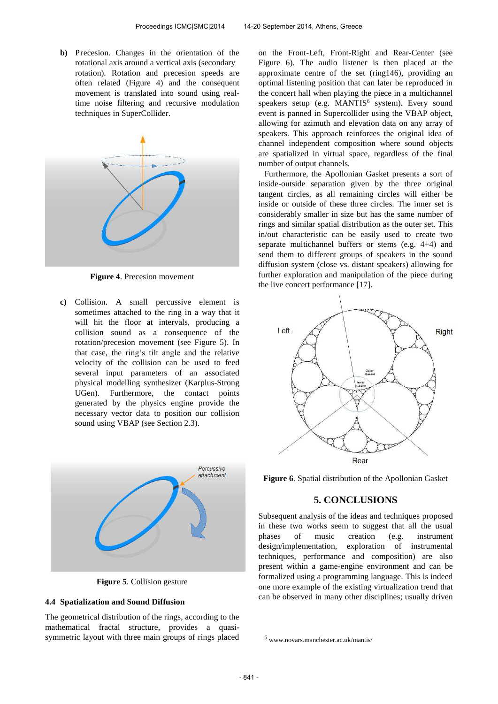**b**) Precesion. Changes in the orientation of the rotational axis around a vertical axis (secondary rotation). Rotation and precesion speeds are often related (Figure 4) and the consequent movement is translated into sound using realtime noise filtering and recursive modulation techniques in SuperCollider.



**Figure 4**. Precesion movement

**c)** Collision. A small percussive element is sometimes attached to the ring in a way that it will hit the floor at intervals, producing a collision sound as a consequence of the rotation/precesion movement (see Figure 5). In that case, the ring's tilt angle and the relative velocity of the collision can be used to feed several input parameters of an associated physical modelling synthesizer (Karplus-Strong UGen). Furthermore, the contact points generated by the physics engine provide the necessary vector data to position our collision sound using VBAP (see Section 2.3).



**Figure 5**. Collision gesture

#### **4.4 Spatialization and Sound Diffusion**

The geometrical distribution of the rings, according to the mathematical fractal structure, provides a quasisymmetric layout with three main groups of rings placed on the Front-Left, Front-Right and Rear-Center (see Figure 6). The audio listener is then placed at the approximate centre of the set (ring146), providing an optimal listening position that can later be reproduced in the concert hall when playing the piece in a multichannel speakers setup (e.g. MANTIS<sup>6</sup> system). Every sound event is panned in Supercollider using the VBAP object, allowing for azimuth and elevation data on any array of speakers. This approach reinforces the original idea of channel independent composition where sound objects are spatialized in virtual space, regardless of the final number of output channels.

Furthermore, the Apollonian Gasket presents a sort of inside-outside separation given by the three original tangent circles, as all remaining circles will either be inside or outside of these three circles. The inner set is considerably smaller in size but has the same number of rings and similar spatial distribution as the outer set. This in/out characteristic can be easily used to create two separate multichannel buffers or stems (e.g. 4+4) and send them to different groups of speakers in the sound diffusion system (close vs. distant speakers) allowing for further exploration and manipulation of the piece during the live concert performance [17].



**Figure 6**. Spatial distribution of the Apollonian Gasket

## **5. CONCLUSIONS**

Subsequent analysis of the ideas and techniques proposed in these two works seem to suggest that all the usual phases of music creation (e.g. instrument design/implementation, exploration of instrumental techniques, performance and composition) are also present within a game-engine environment and can be formalized using a programming language. This is indeed one more example of the existing virtualization trend that can be observed in many other disciplines; usually driven

<sup>6</sup> www.novars.manchester.ac.uk/mantis/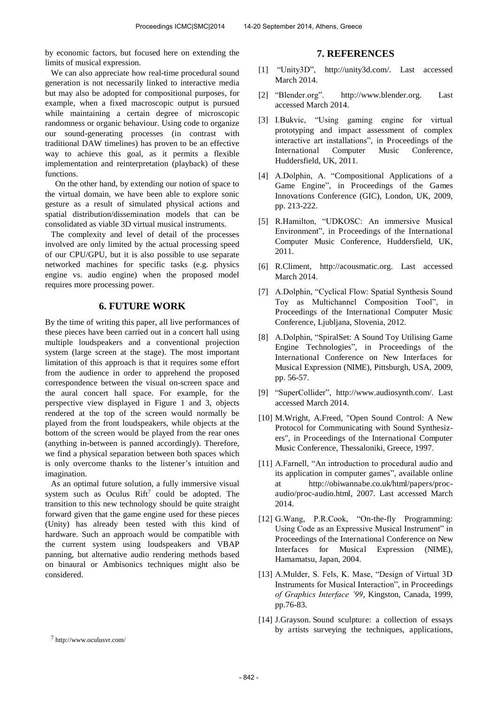by economic factors, but focused here on extending the limits of musical expression.

We can also appreciate how real-time procedural sound generation is not necessarily linked to interactive media but may also be adopted for compositional purposes, for example, when a fixed macroscopic output is pursued while maintaining a certain degree of microscopic randomness or organic behaviour. Using code to organize our sound-generating processes (in contrast with traditional DAW timelines) has proven to be an effective way to achieve this goal, as it permits a flexible implementation and reinterpretation (playback) of these functions.

 On the other hand, by extending our notion of space to the virtual domain, we have been able to explore sonic gesture as a result of simulated physical actions and spatial distribution/dissemination models that can be consolidated as viable 3D virtual musical instruments.

The complexity and level of detail of the processes involved are only limited by the actual processing speed of our CPU/GPU, but it is also possible to use separate networked machines for specific tasks (e.g. physics engine vs. audio engine) when the proposed model requires more processing power.

## **6. FUTURE WORK**

By the time of writing this paper, all live performances of these pieces have been carried out in a concert hall using multiple loudspeakers and a conventional projection system (large screen at the stage). The most important limitation of this approach is that it requires some effort from the audience in order to apprehend the proposed correspondence between the visual on-screen space and the aural concert hall space. For example, for the perspective view displayed in Figure 1 and 3, objects rendered at the top of the screen would normally be played from the front loudspeakers, while objects at the bottom of the screen would be played from the rear ones (anything in-between is panned accordingly). Therefore, we find a physical separation between both spaces which is only overcome thanks to the listener's intuition and imagination.

As an optimal future solution, a fully immersive visual system such as Oculus  $Rift<sup>7</sup>$  could be adopted. The transition to this new technology should be quite straight forward given that the game engine used for these pieces (Unity) has already been tested with this kind of hardware. Such an approach would be compatible with the current system using loudspeakers and VBAP panning, but alternative audio rendering methods based on binaural or Ambisonics techniques might also be considered.

#### **7. REFERENCES**

- [1] "Unity3D", [http://unity3d.com/.](http://unity3d.com/) Last accessed March 2014.
- [2] "Blender.org". [http://www.blender.org.](http://www.blender.org/) Last accessed March 2014.
- [3] I.Bukvic, "Using gaming engine for virtual prototyping and impact assessment of complex interactive art installations", in Proceedings of the International Computer Music Conference, Huddersfield, UK, 2011.
- [4] A.Dolphin, A. "Compositional Applications of a Game Engine", in Proceedings of the Games Innovations Conference (GIC), London, UK, 2009, pp. 213-222.
- [5] R.Hamilton, "UDKOSC: An immersive Musical Environment", in Proceedings of the International Computer Music Conference, Huddersfield, UK, 2011.
- [6] R.Climent, http://acousmatic.org. Last accessed March 2014.
- [7] A.Dolphin, "Cyclical Flow: Spatial Synthesis Sound Toy as Multichannel Composition Tool", in Proceedings of the International Computer Music Conference, Ljubljana, Slovenia, 2012.
- [8] A.Dolphin, "SpiralSet: A Sound Toy Utilising Game Engine Technologies", in Proceedings of the International Conference on New Interfaces for Musical Expression (NIME), Pittsburgh, USA, 2009, pp. 56-57.
- [9] "SuperCollider", http://www.audiosynth.com/. Last accessed March 2014.
- [10] M.Wright, A.Freed, "Open Sound Control: A New Protocol for Communicating with Sound Synthesizers", in Proceedings of the International Computer Music Conference, Thessaloniki, Greece, 1997.
- [11] A.Farnell, "An introduction to procedural audio and its application in computer games", available online at [http://obiwannabe.co.uk/html/papers/proc](http://obiwannabe.co.uk/html/papers/proc-%20%20%20audio/proc-audio.html)[audio/proc-audio.html,](http://obiwannabe.co.uk/html/papers/proc-%20%20%20audio/proc-audio.html) 2007. Last accessed March 2014.
- [12] G.Wang, P.R.Cook, "On-the-fly Programming: Using Code as an Expressive Musical Instrument" in Proceedings of the International Conference on New Interfaces for Musical Expression (NIME), Hamamatsu, Japan, 2004.
- [13] A.Mulder, S. Fels, K. Mase, "Design of Virtual 3D Instruments for Musical Interaction", in Proceedings *of Graphics Interface '99*, Kingston, Canada, 1999, pp.76-83.
- [14] J.Grayson. Sound sculpture: a collection of essays by artists surveying the techniques, applications,

<sup>7</sup> http://www.oculusvr.com/